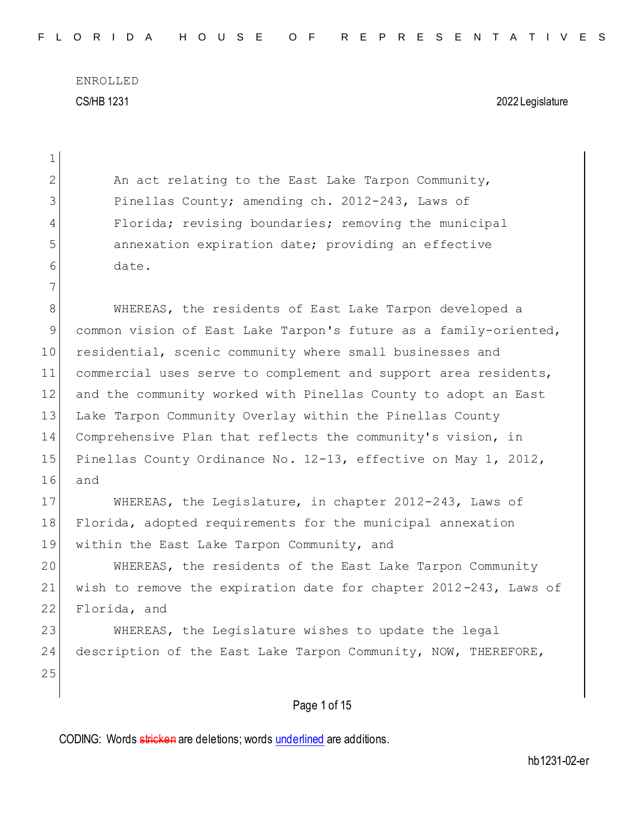$\mathbf{1}$ 

Page 1 of 15 2 An act relating to the East Lake Tarpon Community, 3 Pinellas County; amending ch. 2012-243, Laws of 4 Florida; revising boundaries; removing the municipal 5 annexation expiration date; providing an effective 6 date. 7 8 WHEREAS, the residents of East Lake Tarpon developed a 9 common vision of East Lake Tarpon's future as a family-oriented, 10 residential, scenic community where small businesses and 11 commercial uses serve to complement and support area residents, 12 and the community worked with Pinellas County to adopt an East 13 Lake Tarpon Community Overlay within the Pinellas County 14 Comprehensive Plan that reflects the community's vision, in 15 Pinellas County Ordinance No. 12-13, effective on May 1, 2012, 16 and 17 WHEREAS, the Legislature, in chapter 2012-243, Laws of 18 Florida, adopted requirements for the municipal annexation 19 within the East Lake Tarpon Community, and 20 WHEREAS, the residents of the East Lake Tarpon Community 21 wish to remove the expiration date for chapter 2012-243, Laws of 22 Florida, and 23 WHEREAS, the Legislature wishes to update the legal 24 description of the East Lake Tarpon Community, NOW, THEREFORE, 25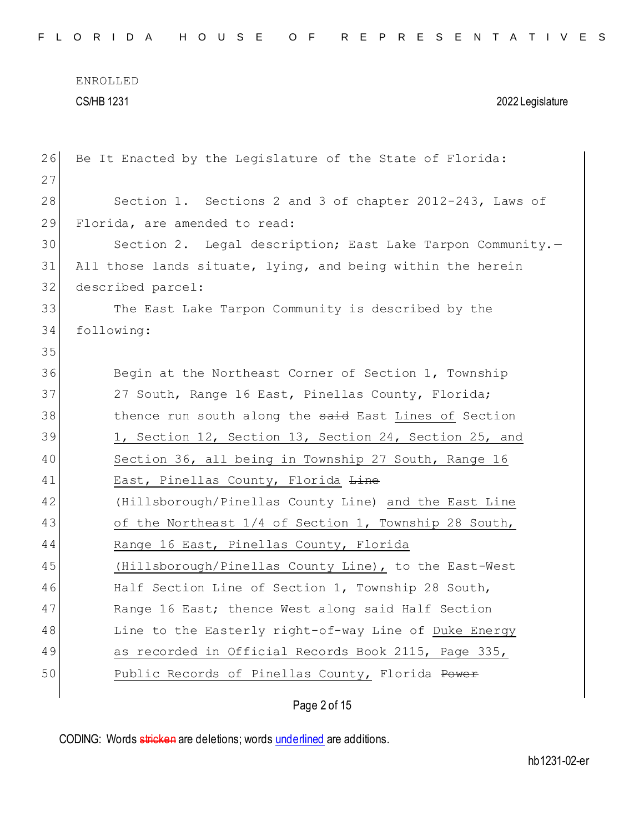ENROLLED

CS/HB 1231 2022 Legislature

```
26 Be It Enacted by the Legislature of the State of Florida:
27
28 Section 1. Sections 2 and 3 of chapter 2012-243, Laws of
29 Florida, are amended to read:
30 Section 2. Legal description; East Lake Tarpon Community. -
31 All those lands situate, lying, and being within the herein 
32 described parcel:
33 The East Lake Tarpon Community is described by the 
34 following:
35
36 Begin at the Northeast Corner of Section 1, Township
37 27 South, Range 16 East, Pinellas County, Florida;
38 thence run south along the said East Lines of Section
39 1, Section 12, Section 13, Section 24, Section 25, and
40 Section 36, all being in Township 27 South, Range 16
41 East, Pinellas County, Florida Line
42 (Hillsborough/Pinellas County Line) and the East Line
43 of the Northeast 1/4 of Section 1, Township 28 South,
44 Range 16 East, Pinellas County, Florida 
45 (Hillsborough/Pinellas County Line), to the East-West 
46 Half Section Line of Section 1, Township 28 South,
47 Range 16 East; thence West along said Half Section
48 Line to the Easterly right-of-way Line of Duke Energy
49 as recorded in Official Records Book 2115, Page 335,
50 Public Records of Pinellas County, Florida <del>Power</del>
```
Page 2 of 15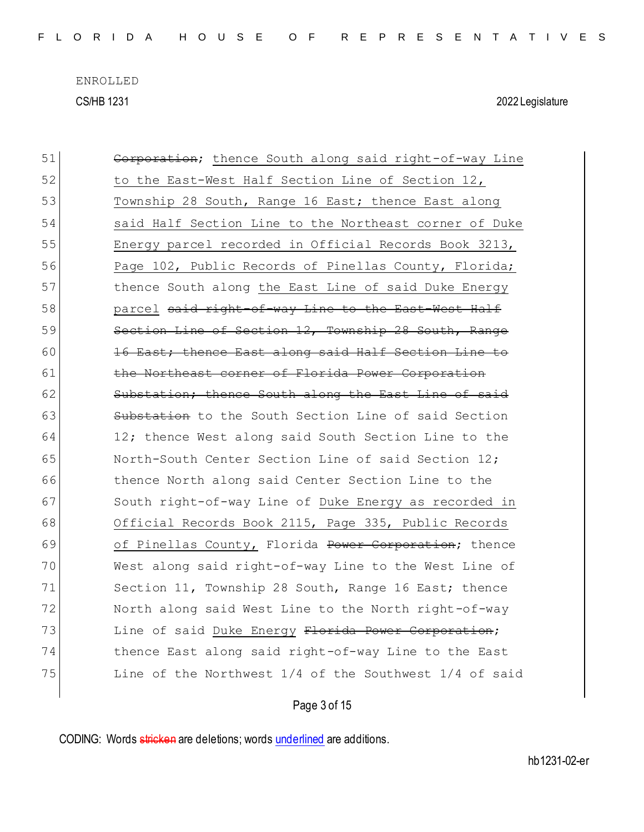| 51 | Corporation; thence South along said right-of-way Line |
|----|--------------------------------------------------------|
| 52 | to the East-West Half Section Line of Section 12,      |
| 53 | Township 28 South, Range 16 East; thence East along    |
| 54 | said Half Section Line to the Northeast corner of Duke |
| 55 | Energy parcel recorded in Official Records Book 3213,  |
| 56 | Page 102, Public Records of Pinellas County, Florida;  |
| 57 | thence South along the East Line of said Duke Energy   |
| 58 | parcel said right-of-way Line to the East-West Half    |
| 59 | Section Line of Section 12, Township 28 South, Range   |
| 60 | 16 East; thence East along said Half Section Line to   |
| 61 | the Northeast corner of Florida Power Corporation      |
| 62 | Substation; thence South along the East Line of said   |
| 63 | Substation to the South Section Line of said Section   |
| 64 | 12; thence West along said South Section Line to the   |
| 65 | North-South Center Section Line of said Section 12;    |
| 66 | thence North along said Center Section Line to the     |
| 67 | South right-of-way Line of Duke Energy as recorded in  |
| 68 | Official Records Book 2115, Page 335, Public Records   |
| 69 | of Pinellas County, Florida Power Corporation; thence  |
| 70 | West along said right-of-way Line to the West Line of  |
| 71 | Section 11, Township 28 South, Range 16 East; thence   |
| 72 | North along said West Line to the North right-of-way   |
| 73 | Line of said Duke Energy Florida Power Corporation;    |
| 74 | thence East along said right-of-way Line to the East   |
| 75 | Line of the Northwest 1/4 of the Southwest 1/4 of said |
|    |                                                        |

## Page 3 of 15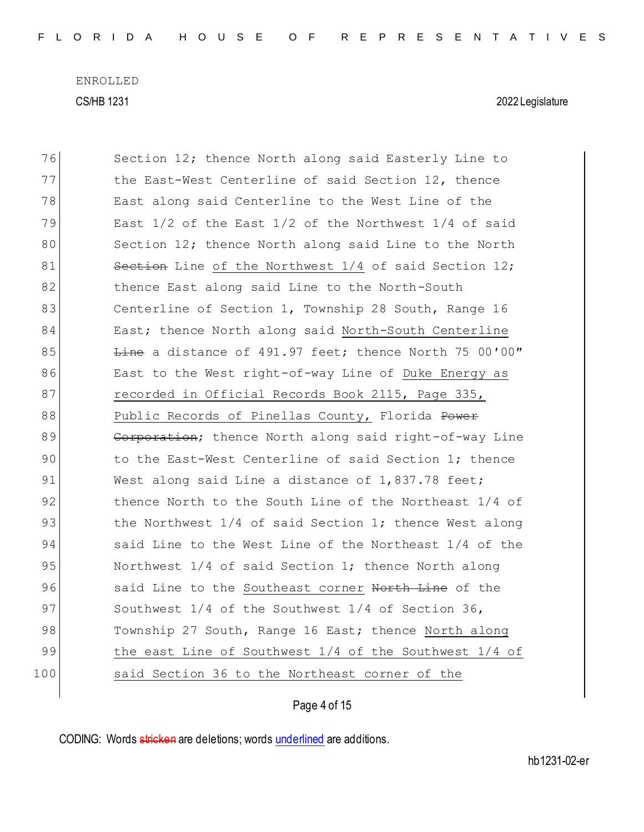| 76  | Section 12; thence North along said Easterly Line to        |
|-----|-------------------------------------------------------------|
| 77  | the East-West Centerline of said Section 12, thence         |
| 78  | East along said Centerline to the West Line of the          |
| 79  | East $1/2$ of the East $1/2$ of the Northwest $1/4$ of said |
| 80  | Section 12; thence North along said Line to the North       |
| 81  | Section Line of the Northwest 1/4 of said Section 12;       |
| 82  | thence East along said Line to the North-South              |
| 83  | Centerline of Section 1, Township 28 South, Range 16        |
| 84  | East; thence North along said North-South Centerline        |
| 85  | Line a distance of 491.97 feet; thence North 75 00'00"      |
| 86  | East to the West right-of-way Line of Duke Energy as        |
| 87  | recorded in Official Records Book 2115, Page 335,           |
| 88  | Public Records of Pinellas County, Florida Power            |
| 89  | Corporation; thence North along said right-of-way Line      |
| 90  | to the East-West Centerline of said Section 1; thence       |
| 91  | West along said Line a distance of 1,837.78 feet;           |
| 92  | thence North to the South Line of the Northeast 1/4 of      |
| 93  | the Northwest 1/4 of said Section 1; thence West along      |
| 94  | said Line to the West Line of the Northeast 1/4 of the      |
| 95  | Northwest 1/4 of said Section 1; thence North along         |
| 96  | said Line to the Southeast corner North Line of the         |
| 97  | Southwest 1/4 of the Southwest 1/4 of Section 36,           |
| 98  | Township 27 South, Range 16 East; thence North along        |
| 99  | the east Line of Southwest $1/4$ of the Southwest $1/4$ of  |
| 100 | said Section 36 to the Northeast corner of the              |
|     |                                                             |

Page 4 of 15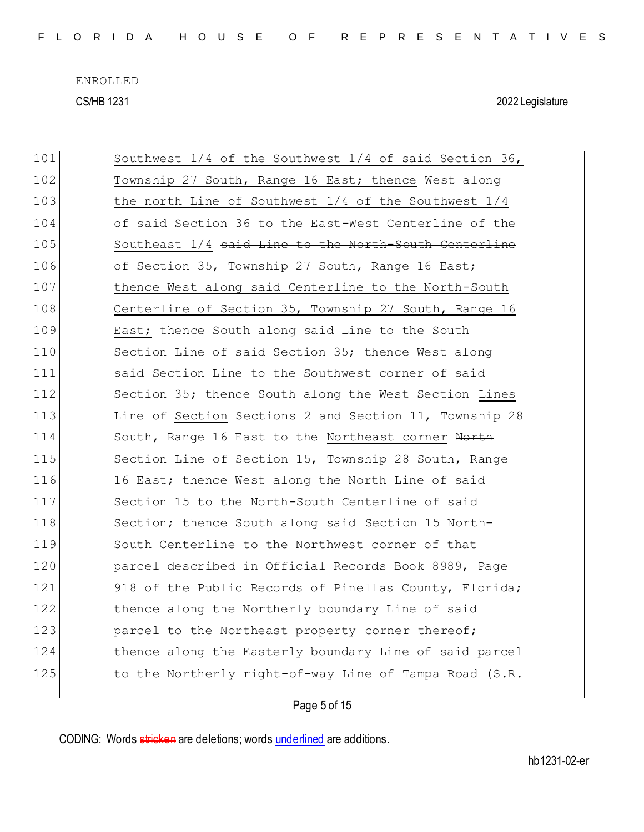| 101 | Southwest 1/4 of the Southwest 1/4 of said Section 36,                   |
|-----|--------------------------------------------------------------------------|
| 102 | Township 27 South, Range 16 East; thence West along                      |
| 103 | the north Line of Southwest $1/4$ of the Southwest $1/4$                 |
| 104 | of said Section 36 to the East-West Centerline of the                    |
| 105 | Southeast 1/4 said Line to the North-South Centerline                    |
| 106 | of Section 35, Township 27 South, Range 16 East;                         |
| 107 | thence West along said Centerline to the North-South                     |
| 108 | Centerline of Section 35, Township 27 South, Range 16                    |
| 109 | East; thence South along said Line to the South                          |
| 110 | Section Line of said Section 35; thence West along                       |
| 111 | said Section Line to the Southwest corner of said                        |
| 112 | Section 35; thence South along the West Section Lines                    |
| 113 | <b>Line</b> of Section <del>Sections</del> 2 and Section 11, Township 28 |
| 114 | South, Range 16 East to the Northeast corner North                       |
| 115 | Section Line of Section 15, Township 28 South, Range                     |
| 116 | 16 East; thence West along the North Line of said                        |
| 117 | Section 15 to the North-South Centerline of said                         |
| 118 | Section; thence South along said Section 15 North-                       |
| 119 | South Centerline to the Northwest corner of that                         |
| 120 | parcel described in Official Records Book 8989, Page                     |
| 121 | 918 of the Public Records of Pinellas County, Florida;                   |
| 122 | thence along the Northerly boundary Line of said                         |
| 123 | parcel to the Northeast property corner thereof;                         |
| 124 | thence along the Easterly boundary Line of said parcel                   |
| 125 | to the Northerly right-of-way Line of Tampa Road (S.R.                   |
|     |                                                                          |

## Page 5 of 15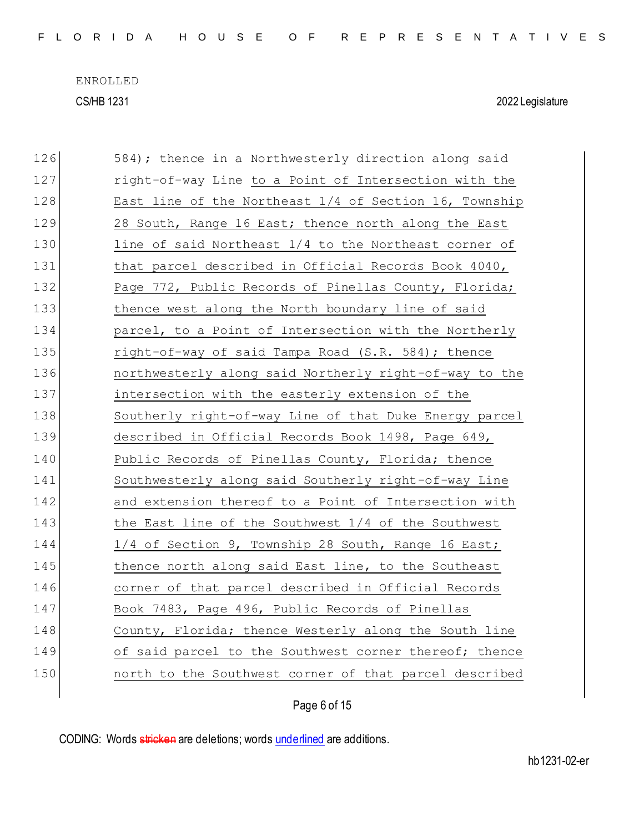| 126 | 584); thence in a Northwesterly direction along said   |
|-----|--------------------------------------------------------|
| 127 | right-of-way Line to a Point of Intersection with the  |
| 128 | East line of the Northeast 1/4 of Section 16, Township |
| 129 | 28 South, Range 16 East; thence north along the East   |
| 130 | line of said Northeast 1/4 to the Northeast corner of  |
| 131 | that parcel described in Official Records Book 4040,   |
| 132 | Page 772, Public Records of Pinellas County, Florida;  |
| 133 | thence west along the North boundary line of said      |
| 134 | parcel, to a Point of Intersection with the Northerly  |
| 135 | right-of-way of said Tampa Road (S.R. 584); thence     |
| 136 | northwesterly along said Northerly right-of-way to the |
| 137 | intersection with the easterly extension of the        |
| 138 | Southerly right-of-way Line of that Duke Energy parcel |
| 139 | described in Official Records Book 1498, Page 649,     |
| 140 | Public Records of Pinellas County, Florida; thence     |
| 141 | Southwesterly along said Southerly right-of-way Line   |
| 142 | and extension thereof to a Point of Intersection with  |
| 143 | the East line of the Southwest 1/4 of the Southwest    |
| 144 | 1/4 of Section 9, Township 28 South, Range 16 East;    |
| 145 | thence north along said East line, to the Southeast    |
| 146 | corner of that parcel described in Official Records    |
| 147 | Book 7483, Page 496, Public Records of Pinellas        |
| 148 | County, Florida; thence Westerly along the South line  |
| 149 | of said parcel to the Southwest corner thereof; thence |
| 150 | north to the Southwest corner of that parcel described |
|     |                                                        |

Page 6 of 15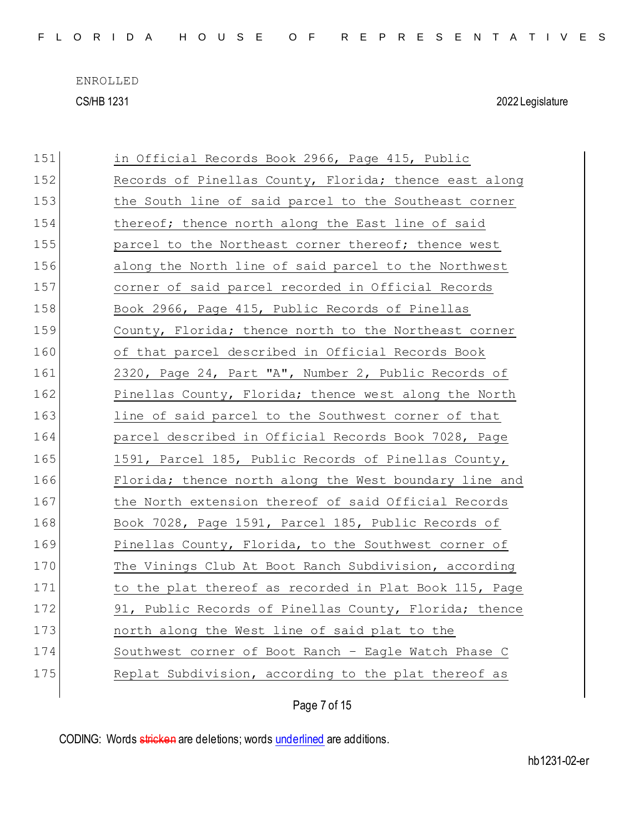|  |  |  |  |  |  |  |  |  |  | FLORIDA HOUSE OF REPRESENTATIVES |  |  |  |  |  |  |  |  |  |  |  |  |  |  |  |
|--|--|--|--|--|--|--|--|--|--|----------------------------------|--|--|--|--|--|--|--|--|--|--|--|--|--|--|--|
|--|--|--|--|--|--|--|--|--|--|----------------------------------|--|--|--|--|--|--|--|--|--|--|--|--|--|--|--|

| 151 | in Official Records Book 2966, Page 415, Public        |
|-----|--------------------------------------------------------|
| 152 | Records of Pinellas County, Florida; thence east along |
| 153 | the South line of said parcel to the Southeast corner  |
| 154 | thereof; thence north along the East line of said      |
| 155 | parcel to the Northeast corner thereof; thence west    |
| 156 | along the North line of said parcel to the Northwest   |
| 157 | corner of said parcel recorded in Official Records     |
| 158 | Book 2966, Page 415, Public Records of Pinellas        |
| 159 | County, Florida; thence north to the Northeast corner  |
| 160 | of that parcel described in Official Records Book      |
| 161 | 2320, Page 24, Part "A", Number 2, Public Records of   |
| 162 | Pinellas County, Florida; thence west along the North  |
| 163 | line of said parcel to the Southwest corner of that    |
| 164 | parcel described in Official Records Book 7028, Page   |
| 165 | 1591, Parcel 185, Public Records of Pinellas County,   |
| 166 | Florida; thence north along the West boundary line and |
| 167 | the North extension thereof of said Official Records   |
| 168 | Book 7028, Page 1591, Parcel 185, Public Records of    |
| 169 | Pinellas County, Florida, to the Southwest corner of   |
| 170 | The Vinings Club At Boot Ranch Subdivision, according  |
| 171 | to the plat thereof as recorded in Plat Book 115, Page |
| 172 | 91, Public Records of Pinellas County, Florida; thence |
| 173 | north along the West line of said plat to the          |
| 174 | Southwest corner of Boot Ranch - Eagle Watch Phase C   |
| 175 | Replat Subdivision, according to the plat thereof as   |
|     |                                                        |

Page 7 of 15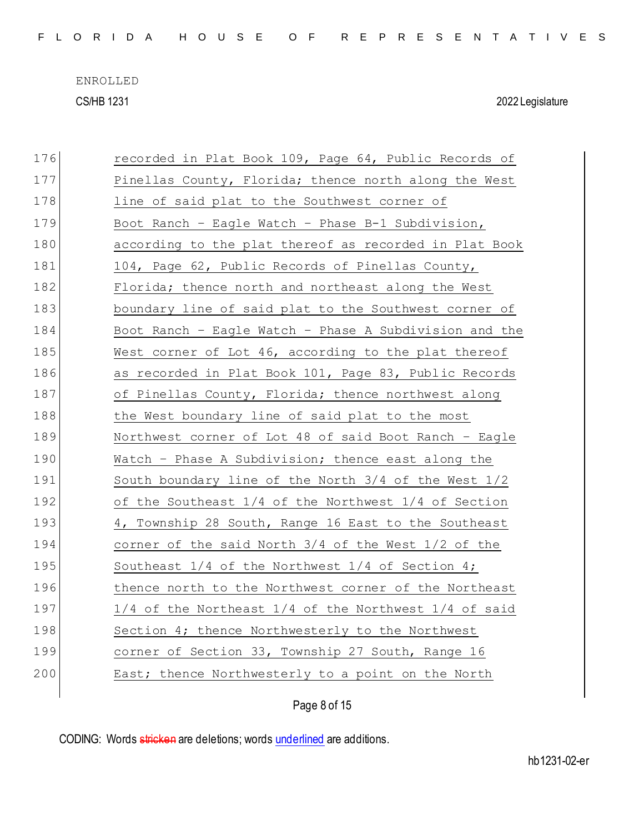F L O R I D A H O U S E O F R E P R E S E N T A T I V E S

ENROLLED CS/HB 1231 2022 Legislature

| 176 | recorded in Plat Book 109, Page 64, Public Records of   |
|-----|---------------------------------------------------------|
| 177 | Pinellas County, Florida; thence north along the West   |
| 178 | line of said plat to the Southwest corner of            |
| 179 | Boot Ranch - Eagle Watch - Phase B-1 Subdivision,       |
| 180 | according to the plat thereof as recorded in Plat Book  |
| 181 | 104, Page 62, Public Records of Pinellas County,        |
| 182 | Florida; thence north and northeast along the West      |
| 183 | boundary line of said plat to the Southwest corner of   |
| 184 | Boot Ranch - Eagle Watch - Phase A Subdivision and the  |
| 185 | West corner of Lot 46, according to the plat thereof    |
| 186 | as recorded in Plat Book 101, Page 83, Public Records   |
| 187 | of Pinellas County, Florida; thence northwest along     |
| 188 | the West boundary line of said plat to the most         |
| 189 | Northwest corner of Lot 48 of said Boot Ranch - Eagle   |
| 190 | Watch - Phase A Subdivision; thence east along the      |
| 191 | South boundary line of the North 3/4 of the West 1/2    |
| 192 | of the Southeast 1/4 of the Northwest 1/4 of Section    |
| 193 | 4, Township 28 South, Range 16 East to the Southeast    |
| 194 | corner of the said North $3/4$ of the West $1/2$ of the |
| 195 | Southeast $1/4$ of the Northwest $1/4$ of Section 4;    |
| 196 | thence north to the Northwest corner of the Northeast   |
| 197 | 1/4 of the Northeast 1/4 of the Northwest 1/4 of said   |
| 198 | Section 4; thence Northwesterly to the Northwest        |
| 199 | corner of Section 33, Township 27 South, Range 16       |
|     |                                                         |
| 200 | East; thence Northwesterly to a point on the North      |

Page 8 of 15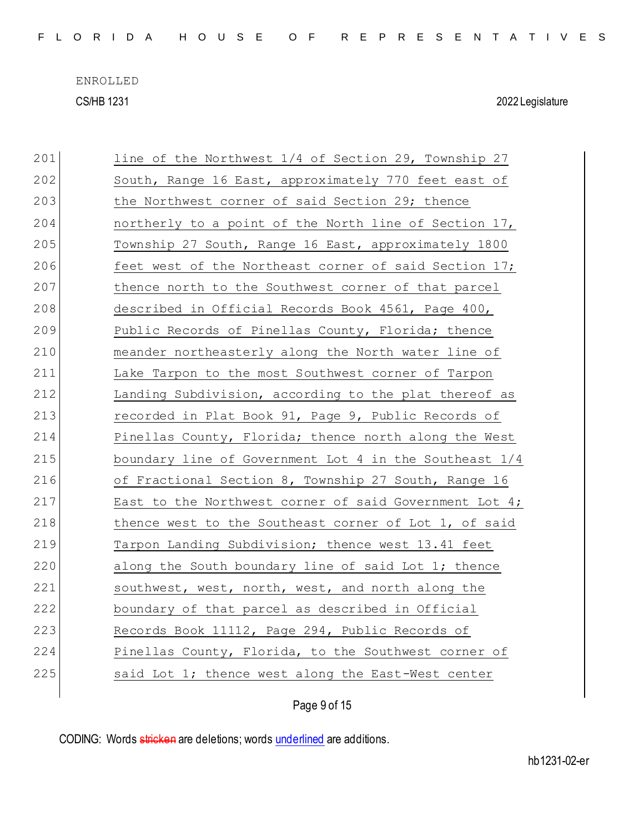F L O R I D A H O U S E O F R E P R E S E N T A T I V E S

ENROLLED CS/HB 1231 2022 Legislature

| 201 | line of the Northwest 1/4 of Section 29, Township 27   |
|-----|--------------------------------------------------------|
| 202 | South, Range 16 East, approximately 770 feet east of   |
| 203 | the Northwest corner of said Section 29; thence        |
| 204 | northerly to a point of the North line of Section 17,  |
| 205 | Township 27 South, Range 16 East, approximately 1800   |
| 206 | feet west of the Northeast corner of said Section 17;  |
| 207 | thence north to the Southwest corner of that parcel    |
| 208 | described in Official Records Book 4561, Page 400,     |
| 209 | Public Records of Pinellas County, Florida; thence     |
| 210 | meander northeasterly along the North water line of    |
| 211 | Lake Tarpon to the most Southwest corner of Tarpon     |
| 212 | Landing Subdivision, according to the plat thereof as  |
| 213 | recorded in Plat Book 91, Page 9, Public Records of    |
| 214 | Pinellas County, Florida; thence north along the West  |
|     |                                                        |
| 215 | boundary line of Government Lot 4 in the Southeast 1/4 |
| 216 | of Fractional Section 8, Township 27 South, Range 16   |
| 217 | East to the Northwest corner of said Government Lot 4; |
| 218 | thence west to the Southeast corner of Lot 1, of said  |
| 219 | Tarpon Landing Subdivision; thence west 13.41 feet     |
| 220 | along the South boundary line of said Lot 1; thence    |
| 221 | southwest, west, north, west, and north along the      |
| 222 | boundary of that parcel as described in Official       |
| 223 | Records Book 11112, Page 294, Public Records of        |
| 224 | Pinellas County, Florida, to the Southwest corner of   |
| 225 | said Lot 1; thence west along the East-West center     |

Page 9 of 15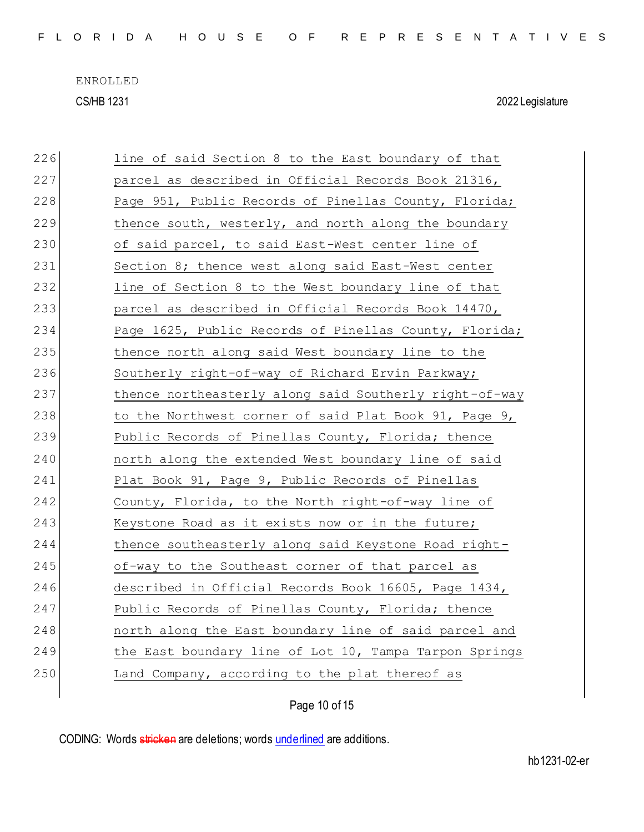F L O R I D A H O U S E O F R E P R E S E N T A T I V E S

ENROLLED CS/HB 1231 2022 Legislature

| 226 | line of said Section 8 to the East boundary of that    |
|-----|--------------------------------------------------------|
| 227 | parcel as described in Official Records Book 21316,    |
| 228 | Page 951, Public Records of Pinellas County, Florida;  |
| 229 | thence south, westerly, and north along the boundary   |
| 230 | of said parcel, to said East-West center line of       |
| 231 | Section 8; thence west along said East-West center     |
| 232 | line of Section 8 to the West boundary line of that    |
| 233 | parcel as described in Official Records Book 14470,    |
| 234 | Page 1625, Public Records of Pinellas County, Florida; |
| 235 | thence north along said West boundary line to the      |
| 236 | Southerly right-of-way of Richard Ervin Parkway;       |
| 237 | thence northeasterly along said Southerly right-of-way |
| 238 | to the Northwest corner of said Plat Book 91, Page 9,  |
| 239 | Public Records of Pinellas County, Florida; thence     |
| 240 | north along the extended West boundary line of said    |
| 241 | Plat Book 91, Page 9, Public Records of Pinellas       |
| 242 | County, Florida, to the North right-of-way line of     |
| 243 | Keystone Road as it exists now or in the future;       |
| 244 | thence southeasterly along said Keystone Road right-   |
| 245 | of-way to the Southeast corner of that parcel as       |
| 246 | described in Official Records Book 16605, Page 1434,   |
| 247 | Public Records of Pinellas County, Florida; thence     |
| 248 | north along the East boundary line of said parcel and  |
| 249 | the East boundary line of Lot 10, Tampa Tarpon Springs |
| 250 | Land Company, according to the plat thereof as         |
|     |                                                        |

Page 10 of 15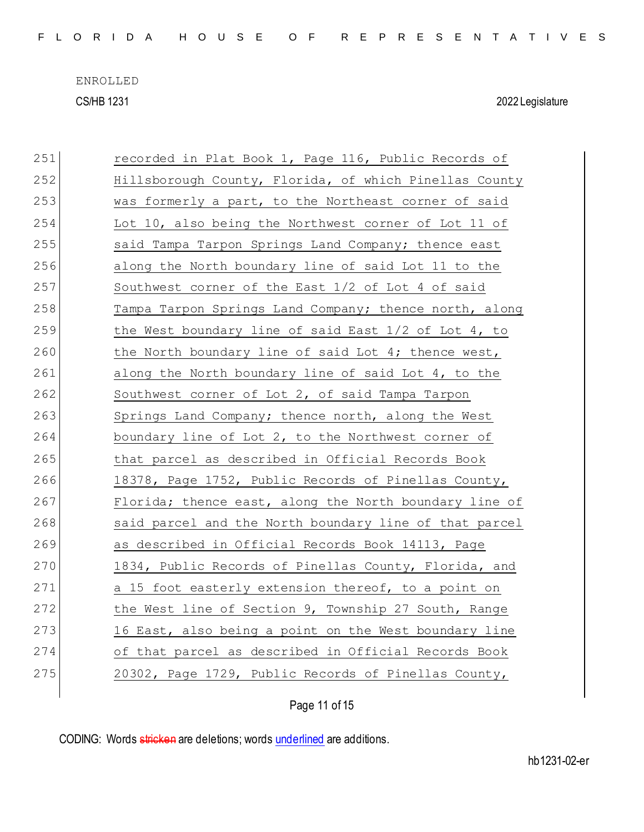| 251 | recorded in Plat Book 1, Page 116, Public Records of   |
|-----|--------------------------------------------------------|
| 252 | Hillsborough County, Florida, of which Pinellas County |
| 253 | was formerly a part, to the Northeast corner of said   |
| 254 | Lot 10, also being the Northwest corner of Lot 11 of   |
| 255 | said Tampa Tarpon Springs Land Company; thence east    |
| 256 | along the North boundary line of said Lot 11 to the    |
| 257 | Southwest corner of the East 1/2 of Lot 4 of said      |
| 258 | Tampa Tarpon Springs Land Company; thence north, along |
| 259 | the West boundary line of said East 1/2 of Lot 4, to   |
| 260 | the North boundary line of said Lot 4; thence west,    |
| 261 | along the North boundary line of said Lot 4, to the    |
| 262 | Southwest corner of Lot 2, of said Tampa Tarpon        |
| 263 | Springs Land Company; thence north, along the West     |
| 264 | boundary line of Lot 2, to the Northwest corner of     |
| 265 | that parcel as described in Official Records Book      |
| 266 | 18378, Page 1752, Public Records of Pinellas County,   |
| 267 | Florida; thence east, along the North boundary line of |
| 268 | said parcel and the North boundary line of that parcel |
| 269 | as described in Official Records Book 14113, Page      |
| 270 | 1834, Public Records of Pinellas County, Florida, and  |
| 271 | a 15 foot easterly extension thereof, to a point on    |
| 272 | the West line of Section 9, Township 27 South, Range   |
| 273 | 16 East, also being a point on the West boundary line  |
| 274 | of that parcel as described in Official Records Book   |
| 275 | 20302, Page 1729, Public Records of Pinellas County,   |
|     |                                                        |

## Page 11 of 15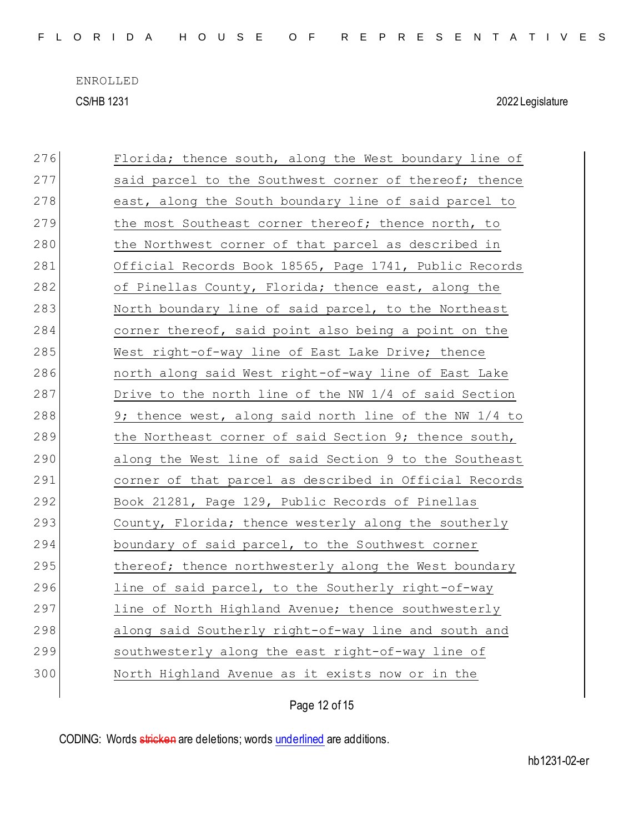| 276 | Florida; thence south, along the West boundary line of |
|-----|--------------------------------------------------------|
| 277 | said parcel to the Southwest corner of thereof; thence |
| 278 | east, along the South boundary line of said parcel to  |
| 279 | the most Southeast corner thereof; thence north, to    |
| 280 | the Northwest corner of that parcel as described in    |
| 281 | Official Records Book 18565, Page 1741, Public Records |
| 282 | of Pinellas County, Florida; thence east, along the    |
| 283 | North boundary line of said parcel, to the Northeast   |
| 284 | corner thereof, said point also being a point on the   |
| 285 | West right-of-way line of East Lake Drive; thence      |
| 286 | north along said West right-of-way line of East Lake   |
| 287 | Drive to the north line of the NW 1/4 of said Section  |
| 288 | 9; thence west, along said north line of the NW 1/4 to |
| 289 | the Northeast corner of said Section 9; thence south,  |
| 290 | along the West line of said Section 9 to the Southeast |
| 291 | corner of that parcel as described in Official Records |
|     |                                                        |
| 292 | Book 21281, Page 129, Public Records of Pinellas       |
| 293 | County, Florida; thence westerly along the southerly   |
| 294 | boundary of said parcel, to the Southwest corner       |
| 295 | thereof; thence northwesterly along the West boundary  |
| 296 | line of said parcel, to the Southerly right-of-way     |
| 297 | line of North Highland Avenue; thence southwesterly    |
| 298 | along said Southerly right-of-way line and south and   |
| 299 | southwesterly along the east right-of-way line of      |
| 300 | North Highland Avenue as it exists now or in the       |

Page 12 of 15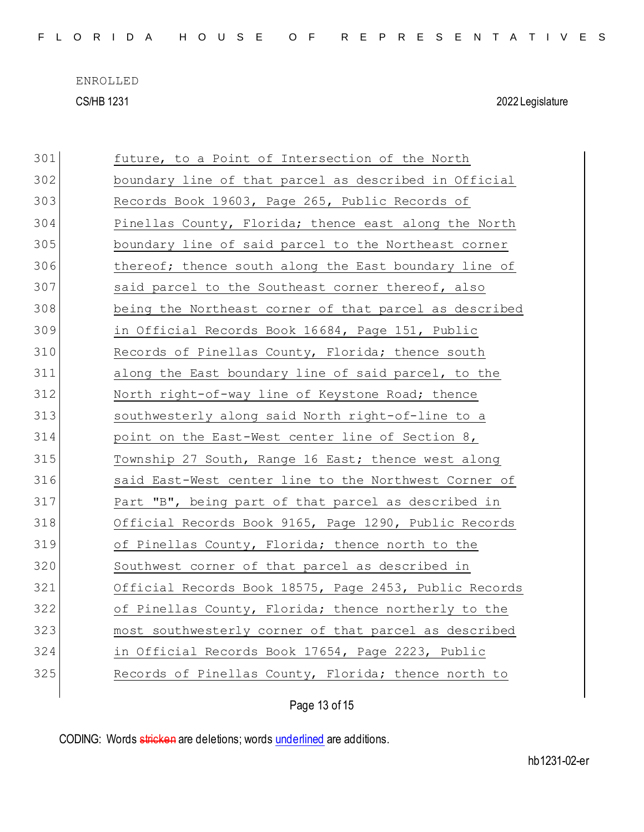|  |  |  |  |  |  |  |  |  |  |  | FLORIDA HOUSE OF REPRESENTATIVES |  |  |  |  |  |  |  |  |  |  |  |  |  |  |  |  |
|--|--|--|--|--|--|--|--|--|--|--|----------------------------------|--|--|--|--|--|--|--|--|--|--|--|--|--|--|--|--|
|--|--|--|--|--|--|--|--|--|--|--|----------------------------------|--|--|--|--|--|--|--|--|--|--|--|--|--|--|--|--|

| 301 | future, to a Point of Intersection of the North          |
|-----|----------------------------------------------------------|
| 302 | boundary line of that parcel as described in Official    |
| 303 | Records Book 19603, Page 265, Public Records of          |
| 304 | Pinellas County, Florida; thence east along the North    |
| 305 | boundary line of said parcel to the Northeast corner     |
| 306 | thereof; thence south along the East boundary line of    |
| 307 | said parcel to the Southeast corner thereof, also        |
| 308 | being the Northeast corner of that parcel as described   |
| 309 | in Official Records Book 16684, Page 151, Public         |
| 310 | Records of Pinellas County, Florida; thence south        |
| 311 | along the East boundary line of said parcel, to the      |
| 312 | North right-of-way line of Keystone Road; thence         |
| 313 | southwesterly along said North right-of-line to a        |
| 314 | point on the East-West center line of Section 8,         |
| 315 | Township 27 South, Range 16 East; thence west along      |
| 316 | said East-West center line to the Northwest Corner of    |
| 317 | Part "B", being part of that parcel as described in      |
| 318 | Official Records Book 9165, Page 1290, Public Records    |
| 319 | of Pinellas County, Florida; thence north to the         |
| 320 | Southwest corner of that parcel as described in          |
| 321 | Official Records Book 18575, Page 2453, Public Records   |
| 322 | of Pinellas County, Florida; thence northerly to the     |
| 323 | most southwesterly corner of that parcel as described    |
| 324 | <u>in Official Records Book 17654, Page 2223, Public</u> |
| 325 | Records of Pinellas County, Florida; thence north to     |
|     |                                                          |

Page 13 of 15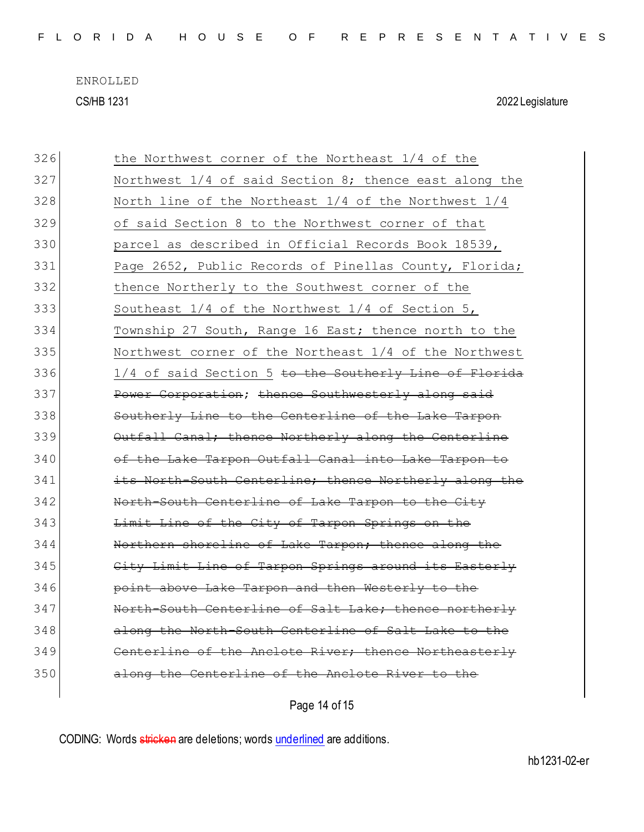|  |  |  |  |  |  |  |  |  |  | FLORIDA HOUSE OF REPRESENTATIVES |  |  |  |  |  |  |  |  |  |  |  |  |  |  |  |
|--|--|--|--|--|--|--|--|--|--|----------------------------------|--|--|--|--|--|--|--|--|--|--|--|--|--|--|--|
|--|--|--|--|--|--|--|--|--|--|----------------------------------|--|--|--|--|--|--|--|--|--|--|--|--|--|--|--|

| 326 | the Northwest corner of the Northeast 1/4 of the       |
|-----|--------------------------------------------------------|
| 327 | Northwest 1/4 of said Section 8; thence east along the |
| 328 | North line of the Northeast 1/4 of the Northwest 1/4   |
| 329 | of said Section 8 to the Northwest corner of that      |
| 330 | parcel as described in Official Records Book 18539,    |
| 331 | Page 2652, Public Records of Pinellas County, Florida; |
| 332 | thence Northerly to the Southwest corner of the        |
| 333 | Southeast 1/4 of the Northwest 1/4 of Section 5,       |
| 334 | Township 27 South, Range 16 East; thence north to the  |
| 335 | Northwest corner of the Northeast 1/4 of the Northwest |
| 336 | 1/4 of said Section 5 to the Southerly Line of Florida |
| 337 | Power Corporation; thence Southwesterly along said     |
| 338 | Southerly Line to the Centerline of the Lake Tarpon    |
| 339 | Outfall Canal; thence Northerly along the Centerline   |
| 340 | of the Lake Tarpon Outfall Canal into Lake Tarpon to   |
| 341 | its North-South Centerline; thence Northerly along the |
| 342 | North-South Centerline of Lake Tarpon to the City      |
| 343 | Limit Line of the City of Tarpon Springs on the        |
| 344 | Northern shoreline of Lake Tarpon; thence along the    |
| 345 | City Limit Line of Tarpon Springs around its Easterly  |
| 346 | point above Lake Tarpon and then Westerly to the       |
| 347 | North-South Centerline of Salt Lake; thence northerly  |
| 348 | along the North-South Centerline of Salt Lake to the   |
| 349 | Centerline of the Anclote River; thence Northeasterly  |
| 350 | along the Centerline of the Anclote River to the       |
|     |                                                        |

Page 14 of 15